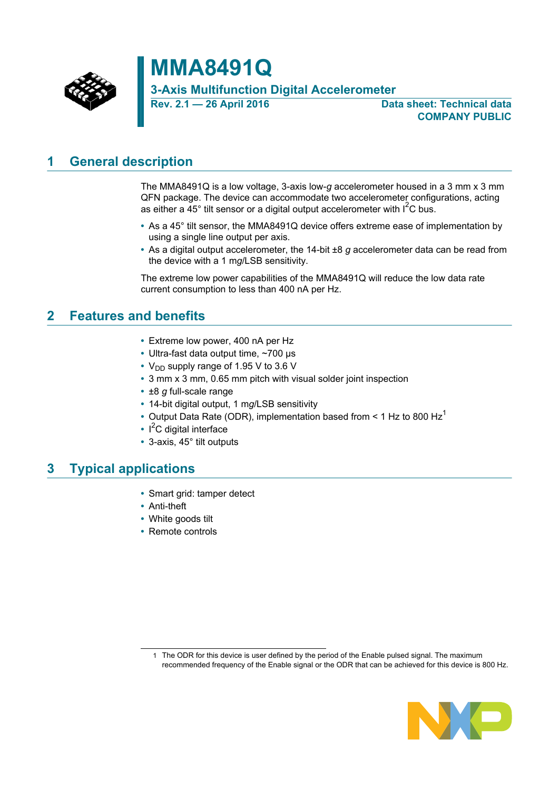

# **MMA8491Q**

**3-Axis Multifunction Digital Accelerometer**

**Rev. 2.1 — 26 April 2016 Data sheet: Technical data COMPANY PUBLIC**

## <span id="page-0-0"></span>**1 General description**

The MMA8491Q is a low voltage, 3-axis low-*g* accelerometer housed in a 3 mm x 3 mm QFN package. The device can accommodate two accelerometer configurations, acting as either a 45 $^{\circ}$  tilt sensor or a digital output accelerometer with I<sup>2</sup>C bus.

- **•** As a 45° tilt sensor, the MMA8491Q device offers extreme ease of implementation by using a single line output per axis.
- **•** As a digital output accelerometer, the 14-bit ±8 *g* accelerometer data can be read from the device with a 1 m*g*/LSB sensitivity.

The extreme low power capabilities of the MMA8491Q will reduce the low data rate current consumption to less than 400 nA per Hz.

## <span id="page-0-1"></span>**2 Features and benefits**

- **•** Extreme low power, 400 nA per Hz
- **•** Ultra-fast data output time, ~700 μs
- V<sub>DD</sub> supply range of 1.95 V to 3.6 V
- **•** 3 mm x 3 mm, 0.65 mm pitch with visual solder joint inspection
- **•** ±8 *g* full-scale range
- **•** 14-bit digital output, 1 m*g*/LSB sensitivity
- Output Data Rate (ODR), implementation based from < 1 Hz to 800 Hz<sup>1</sup>
- **•** I <sup>2</sup>C digital interface
- **•** 3-axis, 45° tilt outputs

## <span id="page-0-2"></span>**3 Typical applications**

- **•** Smart grid: tamper detect
- **•** Anti-theft
- **•** White goods tilt
- **•** Remote controls

<sup>1</sup> The ODR for this device is user defined by the period of the Enable pulsed signal. The maximum recommended frequency of the Enable signal or the ODR that can be achieved for this device is 800 Hz.

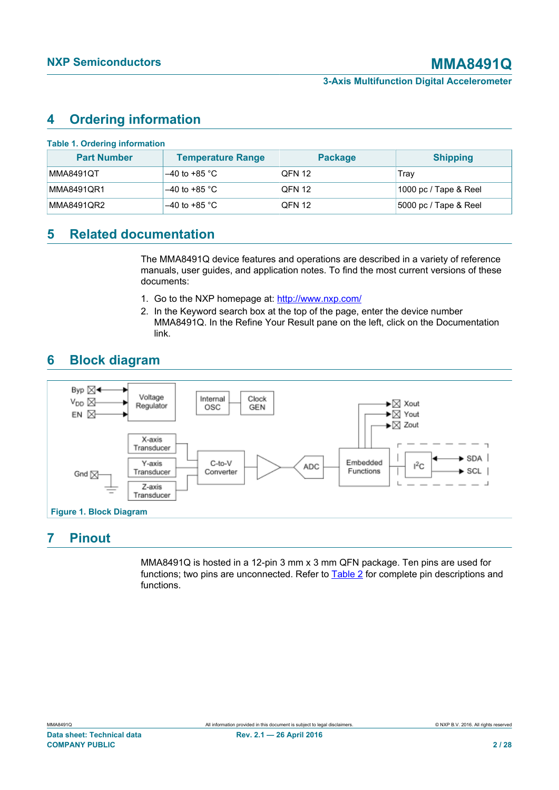## <span id="page-1-2"></span>**4 Ordering information**

<span id="page-1-0"></span>

| <b>Part Number</b> | <b>Temperature Range</b> | <b>Package</b> | <b>Shipping</b>       |
|--------------------|--------------------------|----------------|-----------------------|
| MMA8491QT          | $-40$ to +85 °C          | <b>QFN 12</b>  | Trav                  |
| MMA8491QR1         | $-40$ to +85 °C          | <b>QFN 12</b>  | 1000 pc / Tape & Reel |
| MMA8491QR2         | $-40$ to +85 °C          | <b>QFN 12</b>  | 5000 pc / Tape & Reel |

## <span id="page-1-3"></span>**5 Related documentation**

The MMA8491Q device features and operations are described in a variety of reference manuals, user guides, and application notes. To find the most current versions of these documents:

- 1. Go to the NXP homepage at: [http://www.nxp.com/](www.nxp.com)
- <span id="page-1-1"></span>2. In the Keyword search box at the top of the page, enter the device number MMA8491Q. In the Refine Your Result pane on the left, click on the Documentation link.

## <span id="page-1-4"></span>**6 Block diagram**



## <span id="page-1-5"></span>**7 Pinout**

MMA8491Q is hosted in a 12-pin 3 mm x 3 mm QFN package. Ten pins are used for functions; two pins are unconnected. Refer to [Table 2](#page-2-0) for complete pin descriptions and functions.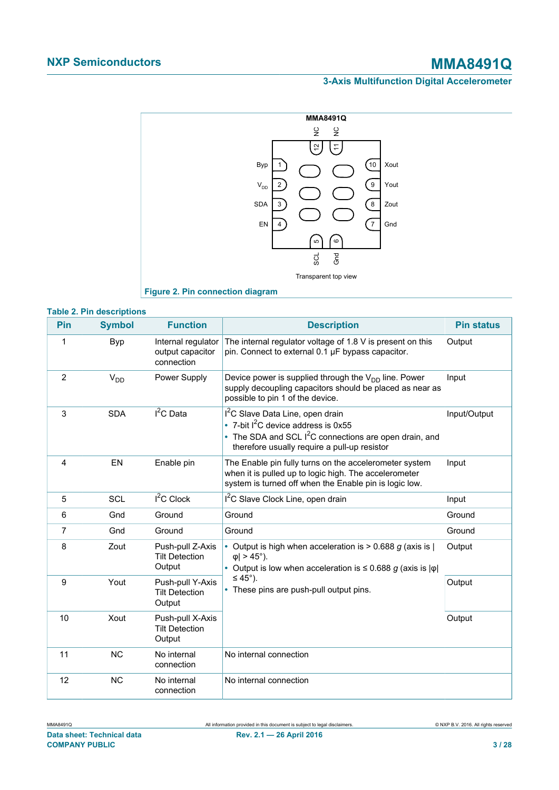<span id="page-2-1"></span>

<span id="page-2-0"></span>

|     | <b>Table 2. Pin descriptions</b> |                                                      |                                                                                                                                                                                                   |                   |  |  |  |
|-----|----------------------------------|------------------------------------------------------|---------------------------------------------------------------------------------------------------------------------------------------------------------------------------------------------------|-------------------|--|--|--|
| Pin | <b>Symbol</b>                    | <b>Function</b>                                      | <b>Description</b>                                                                                                                                                                                | <b>Pin status</b> |  |  |  |
| 1   | Byp                              | Internal regulator<br>output capacitor<br>connection | The internal regulator voltage of 1.8 V is present on this<br>pin. Connect to external 0.1 µF bypass capacitor.                                                                                   | Output            |  |  |  |
| 2   | $V_{DD}$                         | Power Supply                                         | Device power is supplied through the $V_{DD}$ line. Power<br>supply decoupling capacitors should be placed as near as<br>possible to pin 1 of the device.                                         | Input             |  |  |  |
| 3   | <b>SDA</b>                       | $I^2C$ Data                                          | I <sup>2</sup> C Slave Data Line, open drain<br>• 7-bit $I^2C$ device address is 0x55<br>• The SDA and SCL $I^2C$ connections are open drain, and<br>therefore usually require a pull-up resistor | Input/Output      |  |  |  |
| 4   | EN                               | Enable pin                                           | The Enable pin fully turns on the accelerometer system<br>when it is pulled up to logic high. The accelerometer<br>system is turned off when the Enable pin is logic low.                         | Input             |  |  |  |
| 5   | SCL                              | $I2C$ Clock                                          | I <sup>2</sup> C Slave Clock Line, open drain                                                                                                                                                     | Input             |  |  |  |
| 6   | Gnd                              | Ground                                               | Ground                                                                                                                                                                                            | Ground            |  |  |  |
| 7   | Gnd                              | Ground                                               | Ground                                                                                                                                                                                            | Ground            |  |  |  |
| 8   | Zout                             | Push-pull Z-Axis<br><b>Tilt Detection</b><br>Output  | • Output is high when acceleration is $> 0.688$ g (axis is  <br>$ \phi  > 45^{\circ}$ ).<br>• Output is low when acceleration is $\leq 0.688$ g (axis is $ \varphi $ )                            | Output            |  |  |  |
| 9   | Yout                             | Push-pull Y-Axis<br><b>Tilt Detection</b><br>Output  | $\leq 45^{\circ}$ ).<br>• These pins are push-pull output pins.                                                                                                                                   | Output            |  |  |  |
| 10  | Xout                             | Push-pull X-Axis<br><b>Tilt Detection</b><br>Output  |                                                                                                                                                                                                   | Output            |  |  |  |
| 11  | <b>NC</b>                        | No internal<br>connection                            | No internal connection                                                                                                                                                                            |                   |  |  |  |
| 12  | <b>NC</b>                        | No internal<br>connection                            | No internal connection                                                                                                                                                                            |                   |  |  |  |

# MMA8491Q All information provided in this document is subject to legal disclaimers. © NXP B.V. 2016. All rights reserved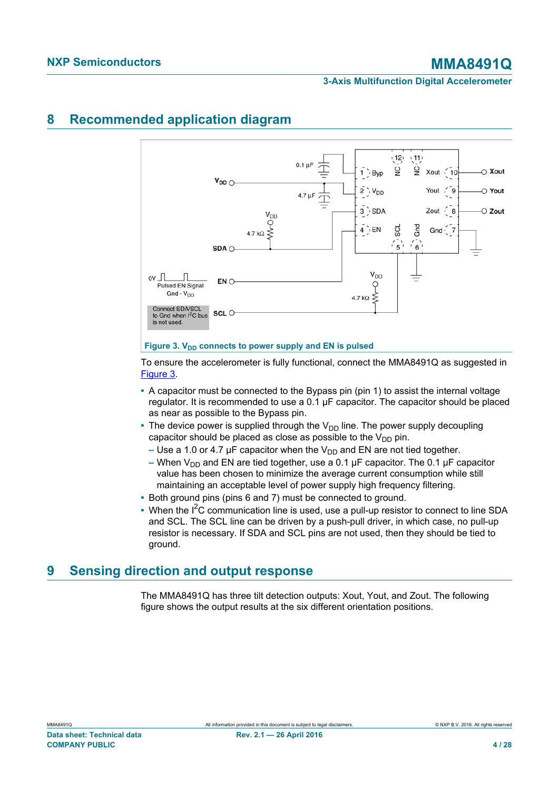## <span id="page-3-1"></span>**8 Recommended application diagram**

<span id="page-3-0"></span>

To ensure the accelerometer is fully functional, connect the MMA8491Q as suggested in [Figure 3.](#page-3-0)

- **•** A capacitor must be connected to the Bypass pin (pin 1) to assist the internal voltage regulator. It is recommended to use a  $0.1 \mu F$  capacitor. The capacitor should be placed as near as possible to the Bypass pin.
- The device power is supplied through the V<sub>DD</sub> line. The power supply decoupling capacitor should be placed as close as possible to the  $V_{DD}$  pin.
	- **Use a 1.0 or 4.7 μF capacitor when the V<sub>DD</sub> and EN are not tied together.**
	- **–** When V<sub>DD</sub> and EN are tied together, use a 0.1 μF capacitor. The 0.1 μF capacitor value has been chosen to minimize the average current consumption while still maintaining an acceptable level of power supply high frequency filtering.
- **•** Both ground pins (pins 6 and 7) must be connected to ground.
- When the I<sup>2</sup>C communication line is used, use a pull-up resistor to connect to line SDA and SCL. The SCL line can be driven by a push-pull driver, in which case, no pull-up resistor is necessary. If SDA and SCL pins are not used, then they should be tied to ground.

## <span id="page-3-2"></span>**9 Sensing direction and output response**

The MMA8491Q has three tilt detection outputs: Xout, Yout, and Zout. The following figure shows the output results at the six different orientation positions.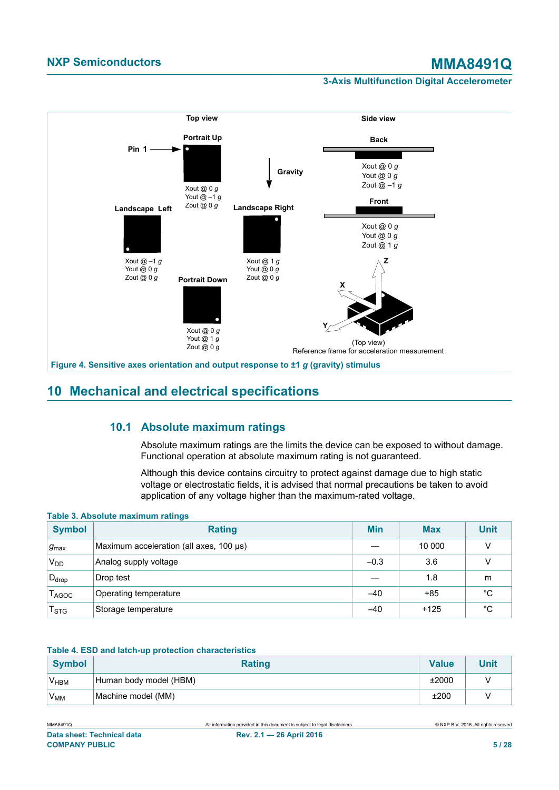## <span id="page-4-2"></span>**NXP Semiconductors MMA8491Q**

### **3-Axis Multifunction Digital Accelerometer**



## <span id="page-4-3"></span>**10 Mechanical and electrical specifications**

## **10.1 Absolute maximum ratings**

<span id="page-4-4"></span>Absolute maximum ratings are the limits the device can be exposed to without damage. Functional operation at absolute maximum rating is not guaranteed.

<span id="page-4-0"></span>Although this device contains circuitry to protect against damage due to high static voltage or electrostatic fields, it is advised that normal precautions be taken to avoid application of any voltage higher than the maximum-rated voltage.

#### **Table 3. Absolute maximum ratings**

| <b>Symbol</b>                | <b>Rating</b>                           | <b>Min</b> | <b>Max</b> | <b>Unit</b> |
|------------------------------|-----------------------------------------|------------|------------|-------------|
| $g_{\text{max}}$             | Maximum acceleration (all axes, 100 µs) |            | 10 000     |             |
| $V_{DD}$                     | Analog supply voltage                   | $-0.3$     | 3.6        |             |
| $D_{drop}$                   | Drop test                               |            | 1.8        | m           |
| $\mathsf{T}_{\mathsf{AGOC}}$ | Operating temperature                   | $-40$      | $+85$      | °C          |
| $\mathsf{T}_{\text{STG}}$    | Storage temperature                     | $-40$      | $+125$     | °C          |

#### <span id="page-4-1"></span>**Table 4. ESD and latch-up protection characteristics**

| Symbol          | <b>Rating</b>          | Value |  |
|-----------------|------------------------|-------|--|
| $V_{HBM}$       | Human body model (HBM) | ±2000 |  |
| V <sub>MM</sub> | Machine model (MM)     | ±200  |  |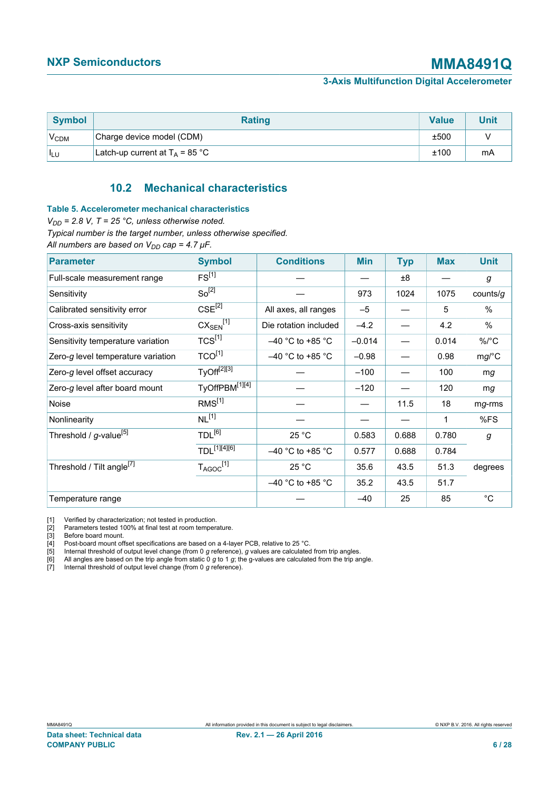| <b>Symbol</b>    | <b>Rating</b>                     | <b>Value</b> | Unit |
|------------------|-----------------------------------|--------------|------|
| V <sub>CDM</sub> | Charge device model (CDM)         | ±500         |      |
| $I_{LU}$         | Latch-up current at $T_A$ = 85 °C | ±100         | mA   |

## <span id="page-5-2"></span><span id="page-5-1"></span><span id="page-5-0"></span>**10.2 Mechanical characteristics**

#### **Table 5. Accelerometer mechanical characteristics**

 $V_{DD}$  = 2.8 V, T = 25 °C, unless otherwise noted.

*Typical number is the target number, unless otherwise specified.*

*All numbers are based on VDD cap = 4.7 μF.*

| <b>Parameter</b>                      | <b>Symbol</b>                             | <b>Conditions</b>     | <b>Min</b> | <b>Typ</b> | <b>Max</b> | <b>Unit</b> |
|---------------------------------------|-------------------------------------------|-----------------------|------------|------------|------------|-------------|
| Full-scale measurement range          | FS <sup>[1]</sup>                         |                       |            | ±8         |            | g           |
| Sensitivity                           | So <sup>[2]</sup>                         |                       | 973        | 1024       | 1075       | counts/g    |
| Calibrated sensitivity error          | $CSE^{[2]}$                               | All axes, all ranges  | $-5$       |            | 5          | $\%$        |
| Cross-axis sensitivity                | $\overline{\text{CX}_{\text{SEN}}^{[1]}}$ | Die rotation included | $-4.2$     |            | 4.2        | $\%$        |
| Sensitivity temperature variation     | $TCS^{[1]}$                               | $-40$ °C to +85 °C    | $-0.014$   |            | 0.014      | $\%$ /°C    |
| Zero-g level temperature variation    | $TCO^{[1]}$                               | $-40$ °C to +85 °C    | $-0.98$    |            | 0.98       | mg/C        |
| Zero-g level offset accuracy          | TyOff <sup>[2][3]</sup>                   |                       | $-100$     |            | 100        | mg          |
| Zero-g level after board mount        | TyOffPBM <sup>[1][4]</sup>                |                       | $-120$     |            | 120        | mg          |
| Noise                                 | RMS <sup>[1]</sup>                        |                       |            | 11.5       | 18         | mg-rms      |
| Nonlinearity                          | $NL^{[1]}$                                |                       |            |            | 1          | %FS         |
| Threshold / g-value <sup>[5]</sup>    | TDL <sup>[6]</sup>                        | 25 °C                 | 0.583      | 0.688      | 0.780      | g           |
|                                       | $TDL^{[1][4][6]}$                         | $-40$ °C to +85 °C    | 0.577      | 0.688      | 0.784      |             |
| Threshold / Tilt angle <sup>[7]</sup> | $T_{AGOC}$ <sup>[1]</sup>                 | 25 °C                 | 35.6       | 43.5       | 51.3       | degrees     |
|                                       |                                           | $-40$ °C to +85 °C    | 35.2       | 43.5       | 51.7       |             |
| Temperature range                     |                                           |                       | $-40$      | 25         | 85         | °C          |

[1] Verified by characterization; not tested in production.<br>
[2] Parameters tested 100% at final test at room tempera<br>
[3] Before board mount.<br>
[4] Post-board mount offset specifications are based on<br>
[5] Internal threshol Parameters tested 100% at final test at room temperature.

Before board mount.

[4] Post-board mount offset specifications are based on a 4-layer PCB, relative to 25 °C.

[5] Internal threshold of output level change (from 0 *g* reference), *g* values are calculated from trip angles.

[6] All angles are based on the trip angle from static 0 *g* to 1 *g*; the g-values are calculated from the trip angle.

[7] Internal threshold of output level change (from 0 *g* reference).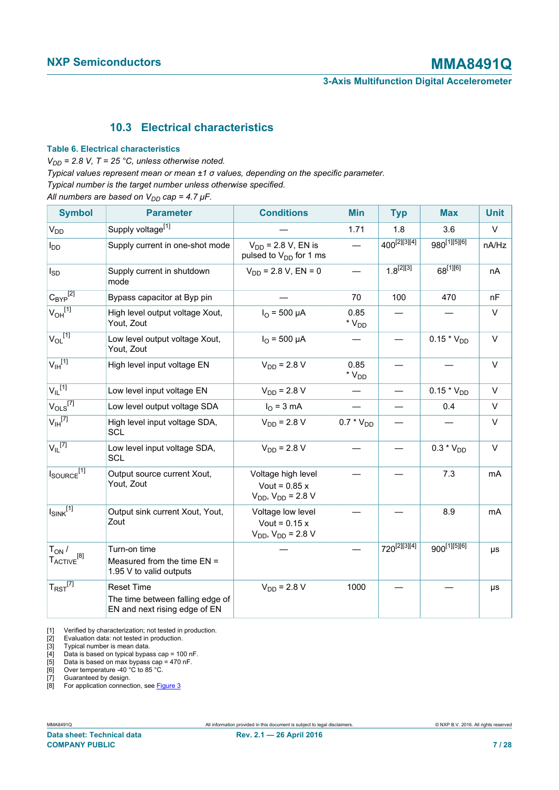## <span id="page-6-2"></span><span id="page-6-1"></span><span id="page-6-0"></span>**10.3 Electrical characteristics**

#### **Table 6. Electrical characteristics**

 $V_{DD}$  = 2.8 V, T = 25 °C, unless otherwise noted.

*Typical values represent mean or mean ±1 σ values, depending on the specific parameter.*

*Typical number is the target number unless otherwise specified.*

*All numbers are based on VDD cap = 4.7 μF.*

| <b>Symbol</b>                                  | <b>Parameter</b>                                                                       | <b>Conditions</b>                                                   | <b>Min</b>                                    | <b>Typ</b>               | <b>Max</b>               | <b>Unit</b> |
|------------------------------------------------|----------------------------------------------------------------------------------------|---------------------------------------------------------------------|-----------------------------------------------|--------------------------|--------------------------|-------------|
| V <sub>DD</sub>                                | Supply voltage <sup>[1]</sup>                                                          |                                                                     | 1.71                                          | 1.8                      | 3.6                      | $\vee$      |
| $I_{DD}$                                       | Supply current in one-shot mode                                                        | $V_{DD}$ = 2.8 V, EN is<br>pulsed to $V_{DD}$ for 1 ms              |                                               | 400 <sup>[2][3][4]</sup> | 980[1][5][6]             | nA/Hz       |
| $I_{SD}$                                       | Supply current in shutdown<br>mode                                                     | $V_{DD}$ = 2.8 V, EN = 0                                            |                                               | $1.8^{[2][3]}$           | 68[1][6]                 | nA          |
| $C_{\text{BYP}}^{[2]}$                         | Bypass capacitor at Byp pin                                                            |                                                                     | 70                                            | 100                      | 470                      | nF          |
| $V_{OH}$ <sup>[1]</sup>                        | High level output voltage Xout,<br>Yout, Zout                                          | $I_{\Omega}$ = 500 µA                                               | 0.85<br>$^{\star}$ $\mathrm{V}_{\mathrm{DD}}$ |                          |                          | $\vee$      |
| $V_{OL}$ <sup>[1]</sup>                        | Low level output voltage Xout,<br>Yout, Zout                                           | $I_{\Omega}$ = 500 µA                                               |                                               |                          | $0.15 * V_{DD}$          | $\vee$      |
| $V_{\text{IH}}^{[1]}$                          | High level input voltage EN                                                            | $V_{DD}$ = 2.8 V                                                    | 0.85<br>$*V_{DD}$                             |                          |                          | $\vee$      |
| $V_{\parallel}$ <sup>[1]</sup>                 | Low level input voltage EN                                                             | $V_{DD} = 2.8 V$                                                    |                                               |                          | $0.15 * V_{DD}$          | $\vee$      |
| $V_{OLS}$ <sup>[7]</sup>                       | Low level output voltage SDA                                                           | $I_{\Omega}$ = 3 mA                                                 |                                               |                          | 0.4                      | V           |
| $V_{\text{IH}}^{[7]}$                          | High level input voltage SDA,<br>SCL                                                   | $V_{DD}$ = 2.8 V                                                    | $0.7 * V_{DD}$                                |                          |                          | $\vee$      |
| $V_{\parallel}$ <sup>[7]</sup>                 | Low level input voltage SDA,<br><b>SCL</b>                                             | $V_{DD}$ = 2.8 V                                                    |                                               |                          | $0.3 * V_{DD}$           | $\vee$      |
| $I_{\text{SOURCE}}^{\text{[1]}}$               | Output source current Xout,<br>Yout, Zout                                              | Voltage high level<br>Vout = $0.85x$<br>$V_{DD}$ , $V_{DD}$ = 2.8 V |                                               |                          | 7.3                      | mA          |
| $I_{SINK}$ <sup>[1]</sup>                      | Output sink current Xout, Yout,<br>Zout                                                | Voltage low level<br>Vout = $0.15x$<br>$V_{DD}$ , $V_{DD}$ = 2.8 V  |                                               |                          | 8.9                      | mA          |
| $T_{ON}$ /<br>${\sf T}_{\sf ACTIVE}^{\rm [8]}$ | Turn-on time<br>Measured from the time $EN =$<br>1.95 V to valid outputs               |                                                                     |                                               | 720 <sup>[2][3][4]</sup> | 900 <sup>[1][5][6]</sup> | μs          |
| $T_{\mathsf{RST}}^{[7]}$                       | <b>Reset Time</b><br>The time between falling edge of<br>EN and next rising edge of EN | $V_{DD}$ = 2.8 V                                                    | 1000                                          |                          |                          | $\mu s$     |

[1] Verified by characterization; not tested in production.

[2] Evaluation data: not tested in production.

[3] Typical number is mean data.

[4] Data is based on typical bypass cap = 100 nF.

[5] Data is based on max bypass cap = 470 nF.

[6] Over temperature -40 °C to 85 °C. [7] Guaranteed by design.

[8] For application connection, see **[Figure 3](#page-3-0)**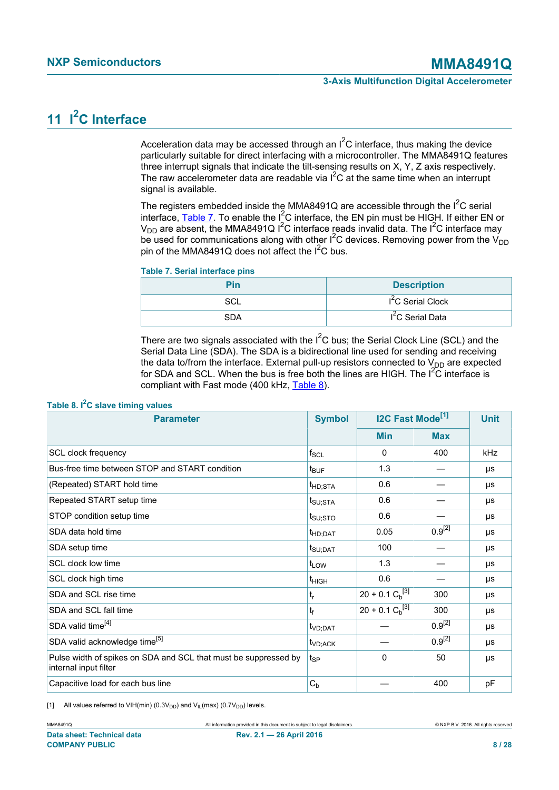# <span id="page-7-3"></span>**11 I2C Interface**

<span id="page-7-2"></span>Acceleration data may be accessed through an  $I^2C$  interface, thus making the device particularly suitable for direct interfacing with a microcontroller. The MMA8491Q features three interrupt signals that indicate the tilt-sensing results on X, Y, Z axis respectively. The raw accelerometer data are readable via  $1^2C$  at the same time when an interrupt signal is available.

The registers embedded inside the MMA8491Q are accessible through the  $I^2C$  serial interface, [Table 7](#page-7-0). To enable the  $I^2C$  interface, the EN pin must be HIGH. If either EN or  $V_{DD}$  are absent, the MMA8491Q I<sup>2</sup>C interface reads invalid data. The I<sup>2</sup>C interface may be used for communications along with other  $I^2C$  devices. Removing power from the  $V_{DD}$ pin of the MMA8491Q does not affect the  $I<sup>2</sup>C$  bus.

#### <span id="page-7-0"></span>**Table 7. Serial interface pins**

| Pin | <b>Description</b>            |
|-----|-------------------------------|
| SCL | I <sup>2</sup> C Serial Clock |
| SDA | I <sup>2</sup> C Serial Data  |

<span id="page-7-1"></span>There are two signals associated with the  $I^2C$  bus; the Serial Clock Line (SCL) and the Serial Data Line (SDA). The SDA is a bidirectional line used for sending and receiving the data to/from the interface. External pull-up resistors connected to  $V_{DD}$  are expected for SDA and SCL. When the bus is free both the lines are HIGH. The I<sup>2</sup>C interface is compliant with Fast mode (400 kHz, [Table 8\)](#page-7-1).

| <b>Parameter</b>                                                                         | <b>Symbol</b>       | <b>I2C Fast Mode<sup>[1]</sup></b> |             | <b>Unit</b> |
|------------------------------------------------------------------------------------------|---------------------|------------------------------------|-------------|-------------|
|                                                                                          |                     | <b>Min</b>                         | <b>Max</b>  |             |
| SCL clock frequency                                                                      | $f_{\rm SCL}$       | 0                                  | 400         | kHz         |
| Bus-free time between STOP and START condition                                           | $t_{\text{BUF}}$    | 1.3                                |             | μs          |
| (Repeated) START hold time                                                               | t <sub>HD;STA</sub> | 0.6                                |             | μs          |
| Repeated START setup time                                                                | t <sub>SU;STA</sub> | 0.6                                |             | μs          |
| STOP condition setup time                                                                | t <sub>su;sto</sub> | 0.6                                |             | μs          |
| SDA data hold time                                                                       | t <sub>HD;DAT</sub> | 0.05                               | $0.9^{[2]}$ | μs          |
| SDA setup time                                                                           | t <sub>SU;DAT</sub> | 100                                |             | μs          |
| SCL clock low time                                                                       | t <sub>LOW</sub>    | 1.3                                |             | μs          |
| SCL clock high time                                                                      | $t_{\text{HIGH}}$   | 0.6                                |             | μs          |
| SDA and SCL rise time                                                                    | $t_r$               | $20 + 0.1 C_b^{[3]}$               | 300         | μs          |
| SDA and SCL fall time                                                                    | tғ                  | $20 + 0.1 Ch[3]$                   | 300         | μs          |
| SDA valid time <sup>[4]</sup>                                                            | t <sub>VD;DAT</sub> |                                    | $0.9^{[2]}$ | μs          |
| SDA valid acknowledge time <sup>[5]</sup>                                                | t <sub>VD;ACK</sub> |                                    | $0.9^{[2]}$ | μs          |
| Pulse width of spikes on SDA and SCL that must be suppressed by<br>internal input filter | t <sub>SP</sub>     | $\mathbf 0$                        | 50          | μs          |
| Capacitive load for each bus line                                                        | $C_{b}$             |                                    | 400         | pF          |

### **Table 8. I2C slave timing values**

[1] All values referred to VIH(min) (0.3 $V_{DD}$ ) and  $V_{IL}$ (max) (0.7 $V_{DD}$ ) levels.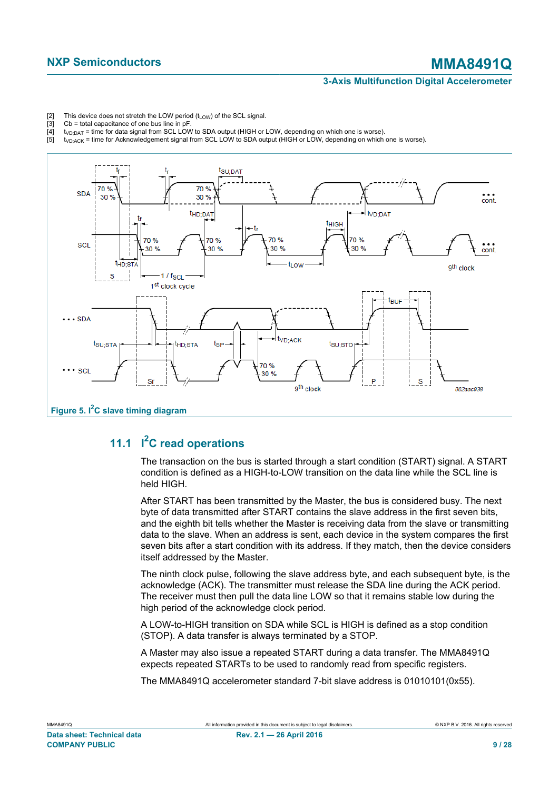- <span id="page-8-0"></span>[2] This device does not stretch the LOW period  $(t_{LOW})$  of the SCL signal.<br>[3] Cb = total capacitance of one bus line in pF.
- [3] Cb = total capacitance of one bus line in pF<br>[4]  $t_{\text{VD:PAT}}$  = time for data signal from SCL LOV
- $\frac{141}{100}$  t<sub>VD;DAT</sub> = time for data signal from SCL LOW to SDA output (HIGH or LOW, depending on which one is worse).<br>[5] t<sub>VD:ACK</sub> = time for Acknowledgement signal from SCL LOW to SDA output (HIGH or LOW, depending
- <span id="page-8-1"></span> $t_{VD;ACK}$  = time for Acknowledgement signal from SCL LOW to SDA output (HIGH or LOW, depending on which one is worse).



## **11.1 I <sup>2</sup>C read operations**

<span id="page-8-2"></span>The transaction on the bus is started through a start condition (START) signal. A START condition is defined as a HIGH-to-LOW transition on the data line while the SCL line is held HIGH.

After START has been transmitted by the Master, the bus is considered busy. The next byte of data transmitted after START contains the slave address in the first seven bits, and the eighth bit tells whether the Master is receiving data from the slave or transmitting data to the slave. When an address is sent, each device in the system compares the first seven bits after a start condition with its address. If they match, then the device considers itself addressed by the Master.

The ninth clock pulse, following the slave address byte, and each subsequent byte, is the acknowledge (ACK). The transmitter must release the SDA line during the ACK period. The receiver must then pull the data line LOW so that it remains stable low during the high period of the acknowledge clock period.

A LOW-to-HIGH transition on SDA while SCL is HIGH is defined as a stop condition (STOP). A data transfer is always terminated by a STOP.

A Master may also issue a repeated START during a data transfer. The MMA8491Q expects repeated STARTs to be used to randomly read from specific registers.

The MMA8491Q accelerometer standard 7-bit slave address is 01010101(0x55).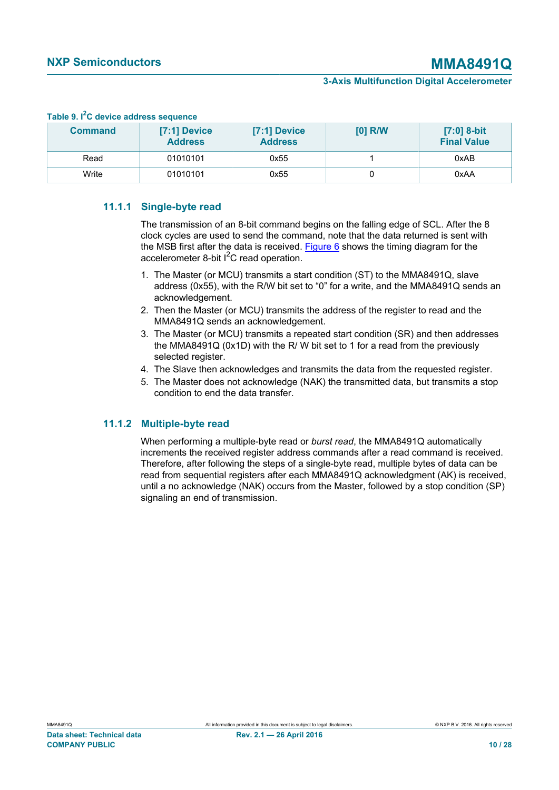| Table 5. I G device address sequence |                                  |                                |           |                                   |  |  |  |
|--------------------------------------|----------------------------------|--------------------------------|-----------|-----------------------------------|--|--|--|
| <b>Command</b>                       | $[7:1]$ Device<br><b>Address</b> | [7:1] Device<br><b>Address</b> | $[0]$ R/W | [7:0] 8-bit<br><b>Final Value</b> |  |  |  |
| Read                                 | 01010101                         | 0x55                           |           | 0xAB                              |  |  |  |
| Write                                | 01010101                         | 0x55                           |           | 0xAA                              |  |  |  |

### <span id="page-9-0"></span>**Table 9. I2C device address sequence**

## **11.1.1 Single-byte read**

<span id="page-9-1"></span>The transmission of an 8-bit command begins on the falling edge of SCL. After the 8 clock cycles are used to send the command, note that the data returned is sent with the MSB first after the data is received. [Figure 6](#page-10-0) shows the timing diagram for the accelerometer 8-bit  $I^2C$  read operation.

- 1. The Master (or MCU) transmits a start condition (ST) to the MMA8491Q, slave address (0x55), with the R/W bit set to "0" for a write, and the MMA8491Q sends an acknowledgement.
- 2. Then the Master (or MCU) transmits the address of the register to read and the MMA8491Q sends an acknowledgement.
- 3. The Master (or MCU) transmits a repeated start condition (SR) and then addresses the MMA8491Q (0x1D) with the R/ W bit set to 1 for a read from the previously selected register.
- 4. The Slave then acknowledges and transmits the data from the requested register.
- 5. The Master does not acknowledge (NAK) the transmitted data, but transmits a stop condition to end the data transfer.

### **11.1.2 Multiple-byte read**

<span id="page-9-2"></span>When performing a multiple-byte read or *burst read*, the MMA8491Q automatically increments the received register address commands after a read command is received. Therefore, after following the steps of a single-byte read, multiple bytes of data can be read from sequential registers after each MMA8491Q acknowledgment (AK) is received, until a no acknowledge (NAK) occurs from the Master, followed by a stop condition (SP) signaling an end of transmission.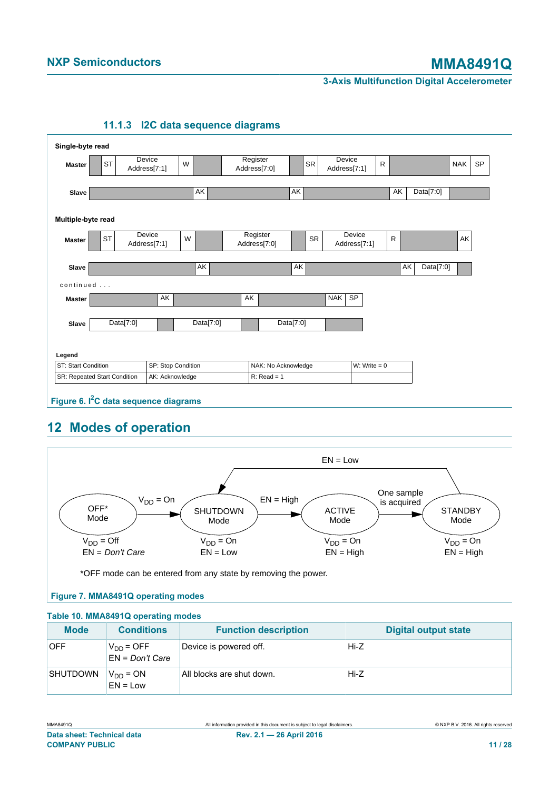

### <span id="page-10-3"></span><span id="page-10-0"></span>**11.1.3 I2C data sequence diagrams**

## <span id="page-10-4"></span><span id="page-10-1"></span>**12 Modes of operation**



### <span id="page-10-2"></span>**Figure 7. MMA8491Q operating modes**

| Table 10. MMA8491Q operating modes |                                     |                             |                             |  |  |
|------------------------------------|-------------------------------------|-----------------------------|-----------------------------|--|--|
| <b>Mode</b>                        | <b>Conditions</b>                   | <b>Function description</b> | <b>Digital output state</b> |  |  |
| <b>OFF</b>                         | $V_{DD} = OFF$<br>$EN = Don't Care$ | Device is powered off.      | Hi-Z                        |  |  |
| <b>SHUTDOWN</b>                    | $V_{DD} = ON$<br>$EN = Low$         | All blocks are shut down.   | Hi-Z                        |  |  |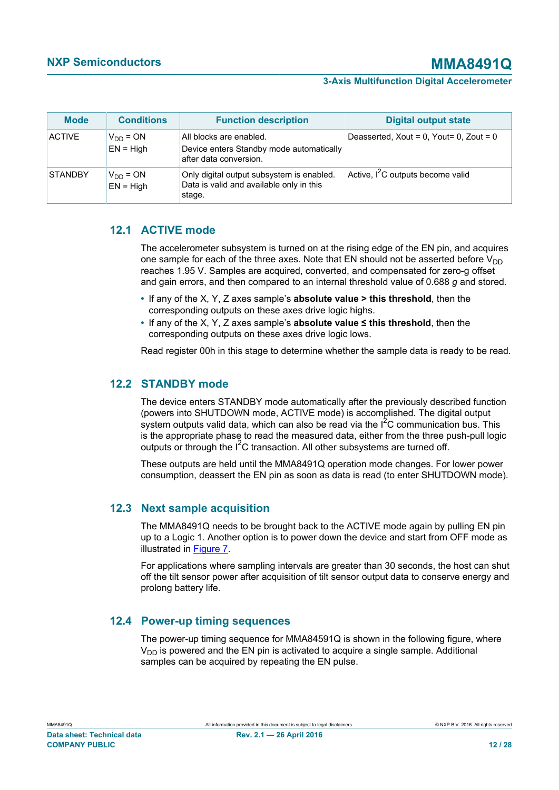| <b>Mode</b>    | <b>Conditions</b>            | <b>Function description</b>                                                                     | <b>Digital output state</b>                     |
|----------------|------------------------------|-------------------------------------------------------------------------------------------------|-------------------------------------------------|
| <b>ACTIVE</b>  | $V_{DD} = ON$<br>$EN = High$ | All blocks are enabled.<br>Device enters Standby mode automatically<br>after data conversion.   | Deasserted, Xout = $0$ , Yout= $0$ , Zout = $0$ |
| <b>STANDBY</b> | $V_{DD} = ON$<br>$EN = High$ | Only digital output subsystem is enabled.<br>Data is valid and available only in this<br>stage. | Active, I <sup>2</sup> C outputs become valid   |

## **12.1 ACTIVE mode**

<span id="page-11-0"></span>The accelerometer subsystem is turned on at the rising edge of the EN pin, and acquires one sample for each of the three axes. Note that EN should not be asserted before  $V_{DD}$ reaches 1.95 V. Samples are acquired, converted, and compensated for zero-g offset and gain errors, and then compared to an internal threshold value of 0.688 *g* and stored.

- **•** If any of the X, Y, Z axes sample's **absolute value > this threshold**, then the corresponding outputs on these axes drive logic highs.
- **•** If any of the X, Y, Z axes sample's **absolute value ≤ this threshold**, then the corresponding outputs on these axes drive logic lows.

Read register 00h in this stage to determine whether the sample data is ready to be read.

## **12.2 STANDBY mode**

<span id="page-11-1"></span>The device enters STANDBY mode automatically after the previously described function (powers into SHUTDOWN mode, ACTIVE mode) is accomplished. The digital output system outputs valid data, which can also be read via the  $I^2C$  communication bus. This is the appropriate phase to read the measured data, either from the three push-pull logic outputs or through the  $I^2C$  transaction. All other subsystems are turned off.

These outputs are held until the MMA8491Q operation mode changes. For lower power consumption, deassert the EN pin as soon as data is read (to enter SHUTDOWN mode).

## **12.3 Next sample acquisition**

<span id="page-11-2"></span>The MMA8491Q needs to be brought back to the ACTIVE mode again by pulling EN pin up to a Logic 1. Another option is to power down the device and start from OFF mode as illustrated in [Figure 7.](#page-10-1)

For applications where sampling intervals are greater than 30 seconds, the host can shut off the tilt sensor power after acquisition of tilt sensor output data to conserve energy and prolong battery life.

## **12.4 Power-up timing sequences**

<span id="page-11-3"></span>The power-up timing sequence for MMA84591Q is shown in the following figure, where  $V_{DD}$  is powered and the EN pin is activated to acquire a single sample. Additional samples can be acquired by repeating the EN pulse.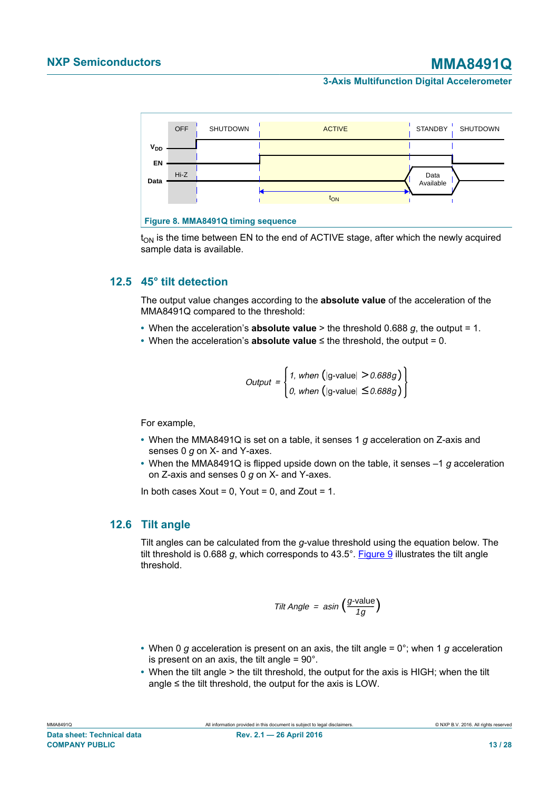<span id="page-12-0"></span>



 $t_{ON}$  is the time between EN to the end of ACTIVE stage, after which the newly acquired sample data is available.

### **12.5 45° tilt detection**

<span id="page-12-1"></span>The output value changes according to the **absolute value** of the acceleration of the MMA8491Q compared to the threshold:

- **•** When the acceleration's **absolute value** > the threshold 0.688 *g*, the output = 1.
- **•** When the acceleration's **absolute value** ≤ the threshold, the output = 0.

$$
Output = \begin{cases} 1, when (|g\text{-value}| > 0.688g) \\ 0, when (|g\text{-value}| \le 0.688g) \end{cases}
$$

For example,

- **•** When the MMA8491Q is set on a table, it senses 1 *g* acceleration on Z-axis and senses 0 *g* on X- and Y-axes.
- **•** When the MMA8491Q is flipped upside down on the table, it senses –1 *g* acceleration on Z-axis and senses 0 *g* on X- and Y-axes.

In both cases Xout =  $0$ , Yout =  $0$ , and Zout =  $1$ .

### **12.6 Tilt angle**

<span id="page-12-2"></span>Tilt angles can be calculated from the *g*-value threshold using the equation below. The tilt threshold is 0.688 *g*, which corresponds to 43.5°. [Figure 9](#page-13-0) illustrates the tilt angle threshold.

$$
Tilt Angle = asin \left(\frac{g\text{-value}}{1g}\right)
$$

- **•** When 0 *g* acceleration is present on an axis, the tilt angle = 0°; when 1 *g* acceleration is present on an axis, the tilt angle  $= 90^\circ$ .
- **•** When the tilt angle > the tilt threshold, the output for the axis is HIGH; when the tilt angle  $\leq$  the tilt threshold, the output for the axis is LOW.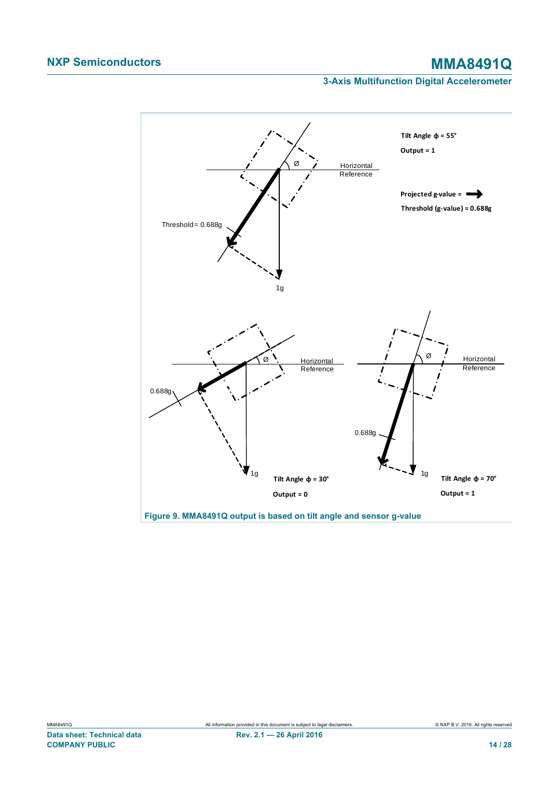<span id="page-13-0"></span>

**Figure 9. MMA8491Q output is based on tilt angle and sensor g-value**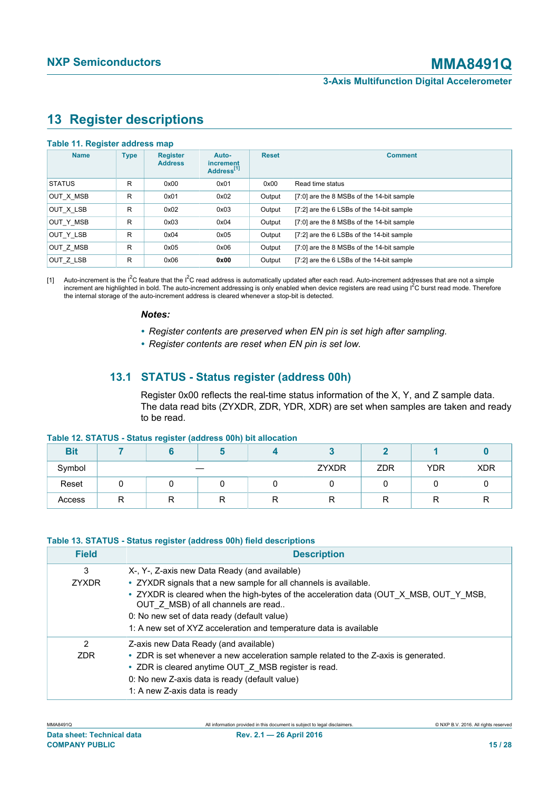## <span id="page-14-4"></span><span id="page-14-0"></span>**13 Register descriptions**

#### <span id="page-14-1"></span>**Table 11. Register address map**

| <b>Name</b>   | <b>Type</b> | <b>Register</b><br><b>Address</b> | Auto-<br>increment<br>Address <sup>[1]</sup> | <b>Reset</b> | <b>Comment</b>                            |
|---------------|-------------|-----------------------------------|----------------------------------------------|--------------|-------------------------------------------|
| <b>STATUS</b> | R           | 0x00                              | 0x01                                         | 0x00         | Read time status                          |
| OUT X MSB     | R           | 0x01                              | 0x02                                         | Output       | [7:0] are the 8 MSBs of the 14-bit sample |
| OUT X LSB     | R           | 0x02                              | 0x03                                         | Output       | [7:2] are the 6 LSBs of the 14-bit sample |
| OUT Y MSB     | R           | 0x03                              | 0x04                                         | Output       | [7:0] are the 8 MSBs of the 14-bit sample |
| OUT Y LSB     | R           | 0x04                              | 0x05                                         | Output       | [7:2] are the 6 LSBs of the 14-bit sample |
| OUT Z MSB     | R           | 0x05                              | 0x06                                         | Output       | [7:0] are the 8 MSBs of the 14-bit sample |
| OUT Z LSB     | R           | 0x06                              | 0x00                                         | Output       | [7:2] are the 6 LSBs of the 14-bit sample |

[1] Auto-increment is the  $I^2C$  feature that the  $I^2C$  read address is automatically updated after each read. Auto-increment addresses that are not a simple increment are highlighted in bold. The auto-increment addressing is only enabled when device registers are read using I<sup>2</sup>C burst read mode. Therefore the internal storage of the auto-increment address is cleared whenever a stop-bit is detected.

#### *Notes:*

- *• Register contents are preserved when EN pin is set high after sampling.*
- *• Register contents are reset when EN pin is set low.*

## **13.1 STATUS - Status register (address 00h)**

<span id="page-14-5"></span><span id="page-14-2"></span>Register 0x00 reflects the real-time status information of the X, Y, and Z sample data. The data read bits (ZYXDR, ZDR, YDR, XDR) are set when samples are taken and ready to be read.

#### **Table 12. STATUS - Status register (address 00h) bit allocation**

| <b>Bit</b> |    |   |   |       |            |            |            |
|------------|----|---|---|-------|------------|------------|------------|
| Symbol     |    |   |   | ZYXDR | <b>ZDR</b> | <b>YDR</b> | <b>XDR</b> |
| Reset      |    |   |   |       |            |            |            |
| Access     | רז | n | ĸ | ∍     |            |            |            |

### **Table 13. STATUS - Status register (address 00h) field descriptions**

<span id="page-14-3"></span>

| <b>Field</b>         | <b>Description</b>                                                                                                                                                                                                                                                                                                                                                      |
|----------------------|-------------------------------------------------------------------------------------------------------------------------------------------------------------------------------------------------------------------------------------------------------------------------------------------------------------------------------------------------------------------------|
| 3<br><b>ZYXDR</b>    | X-, Y-, Z-axis new Data Ready (and available)<br>• ZYXDR signals that a new sample for all channels is available.<br>• ZYXDR is cleared when the high-bytes of the acceleration data (OUT_X_MSB, OUT_Y_MSB,<br>OUT Z MSB) of all channels are read<br>0: No new set of data ready (default value)<br>1: A new set of XYZ acceleration and temperature data is available |
| 2<br>7 <sub>DR</sub> | Z-axis new Data Ready (and available)<br>• ZDR is set whenever a new acceleration sample related to the Z-axis is generated.<br>• ZDR is cleared anytime OUT Z MSB register is read.<br>0: No new Z-axis data is ready (default value)<br>1: A new Z-axis data is ready                                                                                                 |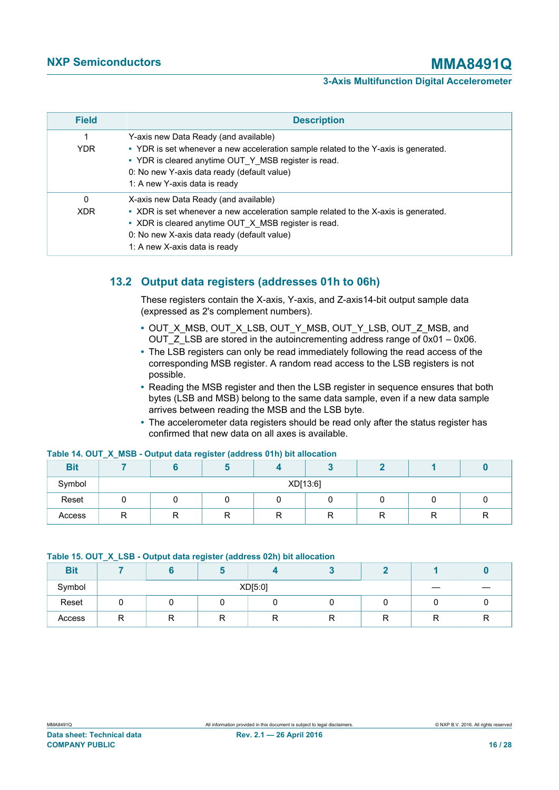| <b>Field</b>           | <b>Description</b>                                                                                                                                                                                                                                                   |
|------------------------|----------------------------------------------------------------------------------------------------------------------------------------------------------------------------------------------------------------------------------------------------------------------|
| <b>YDR</b>             | Y-axis new Data Ready (and available)<br>• YDR is set whenever a new acceleration sample related to the Y-axis is generated.<br>• YDR is cleared anytime OUT Y MSB register is read.<br>0: No new Y-axis data ready (default value)<br>1: A new Y-axis data is ready |
| $\Omega$<br><b>XDR</b> | X-axis new Data Ready (and available)<br>• XDR is set whenever a new acceleration sample related to the X-axis is generated.<br>• XDR is cleared anytime OUT X MSB register is read.<br>0: No new X-axis data ready (default value)<br>1: A new X-axis data is ready |

## **13.2 Output data registers (addresses 01h to 06h)**

<span id="page-15-2"></span>These registers contain the X-axis, Y-axis, and Z-axis14-bit output sample data (expressed as 2's complement numbers).

- **•** OUT\_X\_MSB, OUT\_X\_LSB, OUT\_Y\_MSB, OUT\_Y\_LSB, OUT\_Z\_MSB, and OUT  $Z$  LSB are stored in the autoincrementing address range of 0x01 – 0x06.
- **•** The LSB registers can only be read immediately following the read access of the corresponding MSB register. A random read access to the LSB registers is not possible.
- **•** Reading the MSB register and then the LSB register in sequence ensures that both bytes (LSB and MSB) belong to the same data sample, even if a new data sample arrives between reading the MSB and the LSB byte.
- <span id="page-15-0"></span>**•** The accelerometer data registers should be read only after the status register has confirmed that new data on all axes is available.

| <b>Bit</b> |          |   |  |  |   |    |  |
|------------|----------|---|--|--|---|----|--|
| Symbol     | XD[13:6] |   |  |  |   |    |  |
| Reset      |          |   |  |  |   |    |  |
| Access     | ⋼<br>יי  | R |  |  | R | רז |  |

#### **Table 14. OUT\_X\_MSB - Output data register (address 01h) bit allocation**

#### <span id="page-15-1"></span>**Table 15. OUT\_X\_LSB - Output data register (address 02h) bit allocation**

| <b>Bit</b> |         |  |   |  |  |    |  |
|------------|---------|--|---|--|--|----|--|
| Symbol     | XD[5:0] |  |   |  |  |    |  |
| Reset      |         |  |   |  |  |    |  |
| Access     | −       |  | ĸ |  |  | '' |  |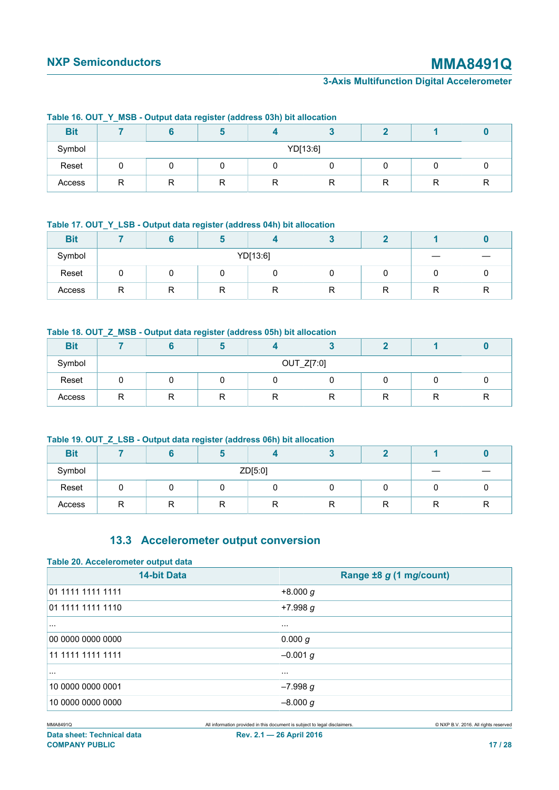<span id="page-16-0"></span>

|            |          |  | and and an and the following on the contract of the contract of the contract of the contract of the contract of the contract of the contract of the contract of the contract of the contract of the contract of the contract o |  |  |  |  |
|------------|----------|--|--------------------------------------------------------------------------------------------------------------------------------------------------------------------------------------------------------------------------------|--|--|--|--|
| <b>Bit</b> |          |  |                                                                                                                                                                                                                                |  |  |  |  |
| Symbol     | YD[13:6] |  |                                                                                                                                                                                                                                |  |  |  |  |
| Reset      |          |  |                                                                                                                                                                                                                                |  |  |  |  |
| Access     | D        |  | R                                                                                                                                                                                                                              |  |  |  |  |

#### **Table 16. OUT\_Y\_MSB - Output data register (address 03h) bit allocation**

#### <span id="page-16-1"></span>**Table 17. OUT\_Y\_LSB - Output data register (address 04h) bit allocation**

| <b>Bit</b> |          |              |        |        |   |   |   |  |
|------------|----------|--------------|--------|--------|---|---|---|--|
| Symbol     | YD[13:6] |              |        |        |   |   |   |  |
| Reset      |          |              |        |        |   |   |   |  |
| Access     | ∍        | ח<br>$\cdot$ | D<br>ĸ | D<br>ĸ | R | R | D |  |

#### <span id="page-16-2"></span>**Table 18. OUT\_Z\_MSB - Output data register (address 05h) bit allocation**

| <b>Bit</b> |            |  |   |   |   |        |   |  |
|------------|------------|--|---|---|---|--------|---|--|
| Symbol     | OUT_Z[7:0] |  |   |   |   |        |   |  |
| Reset      |            |  |   |   |   |        |   |  |
| Access     | n<br>יי    |  | R | ▫ | ĸ | −<br>ĸ | R |  |

#### **Table 19. OUT\_Z\_LSB - Output data register (address 06h) bit allocation**

<span id="page-16-3"></span>

| <b>Bit</b> |         |   |        |   |   |  |   |  |
|------------|---------|---|--------|---|---|--|---|--|
| Symbol     | ZD[5:0] |   |        |   |   |  |   |  |
| Reset      |         |   |        |   |   |  |   |  |
| Access     | ₽       | R | D<br>ĸ | ∍ | R |  | D |  |

## <span id="page-16-5"></span><span id="page-16-4"></span>**13.3 Accelerometer output conversion**

| Table 20. Accelerometer output data |                         |  |  |  |  |  |  |  |
|-------------------------------------|-------------------------|--|--|--|--|--|--|--|
| <b>14-bit Data</b>                  | Range ±8 g (1 mg/count) |  |  |  |  |  |  |  |
| 01 1111 1111 1111                   | $+8.000 g$              |  |  |  |  |  |  |  |
| 01 1111 1111 1110                   | $+7.998 g$              |  |  |  |  |  |  |  |
| $\sim$ $\sim$ $\sim$                | $\cdots$                |  |  |  |  |  |  |  |
| 00 0000 0000 0000                   | 0.000 g                 |  |  |  |  |  |  |  |
| 11 1111 1111 1111                   | $-0.001$ g              |  |  |  |  |  |  |  |
| $\cdots$                            | $\cdots$                |  |  |  |  |  |  |  |
| 10 0000 0000 0001                   | $-7.998 g$              |  |  |  |  |  |  |  |
| 10 0000 0000 0000                   | $-8.000 g$              |  |  |  |  |  |  |  |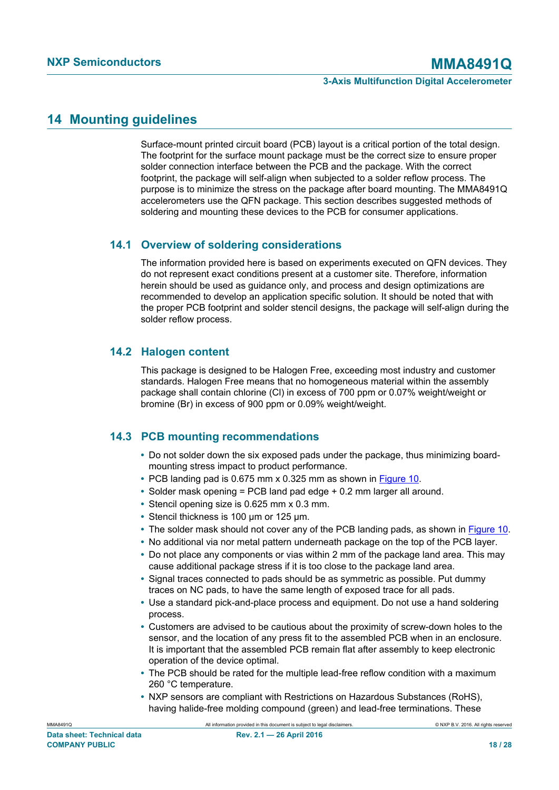## <span id="page-17-0"></span>**14 Mounting guidelines**

Surface-mount printed circuit board (PCB) layout is a critical portion of the total design. The footprint for the surface mount package must be the correct size to ensure proper solder connection interface between the PCB and the package. With the correct footprint, the package will self-align when subjected to a solder reflow process. The purpose is to minimize the stress on the package after board mounting. The MMA8491Q accelerometers use the QFN package. This section describes suggested methods of soldering and mounting these devices to the PCB for consumer applications.

## **14.1 Overview of soldering considerations**

<span id="page-17-1"></span>The information provided here is based on experiments executed on QFN devices. They do not represent exact conditions present at a customer site. Therefore, information herein should be used as guidance only, and process and design optimizations are recommended to develop an application specific solution. It should be noted that with the proper PCB footprint and solder stencil designs, the package will self-align during the solder reflow process.

## **14.2 Halogen content**

<span id="page-17-2"></span>This package is designed to be Halogen Free, exceeding most industry and customer standards. Halogen Free means that no homogeneous material within the assembly package shall contain chlorine (Cl) in excess of 700 ppm or 0.07% weight/weight or bromine (Br) in excess of 900 ppm or 0.09% weight/weight.

## **14.3 PCB mounting recommendations**

- <span id="page-17-3"></span>**•** Do not solder down the six exposed pads under the package, thus minimizing boardmounting stress impact to product performance.
- **•** PCB landing pad is 0.675 mm x 0.325 mm as shown in [Figure 10](#page-18-0).
- **•** Solder mask opening = PCB land pad edge + 0.2 mm larger all around.
- **•** Stencil opening size is 0.625 mm x 0.3 mm.
- **•** Stencil thickness is 100 μm or 125 μm.
- The solder mask should not cover any of the PCB landing pads, as shown in **Figure 10.**
- **•** No additional via nor metal pattern underneath package on the top of the PCB layer.
- **•** Do not place any components or vias within 2 mm of the package land area. This may cause additional package stress if it is too close to the package land area.
- **•** Signal traces connected to pads should be as symmetric as possible. Put dummy traces on NC pads, to have the same length of exposed trace for all pads.
- **•** Use a standard pick-and-place process and equipment. Do not use a hand soldering process.
- **•** Customers are advised to be cautious about the proximity of screw-down holes to the sensor, and the location of any press fit to the assembled PCB when in an enclosure. It is important that the assembled PCB remain flat after assembly to keep electronic operation of the device optimal.
- **•** The PCB should be rated for the multiple lead-free reflow condition with a maximum 260 °C temperature.
- **•** NXP sensors are compliant with Restrictions on Hazardous Substances (RoHS), having halide-free molding compound (green) and lead-free terminations. These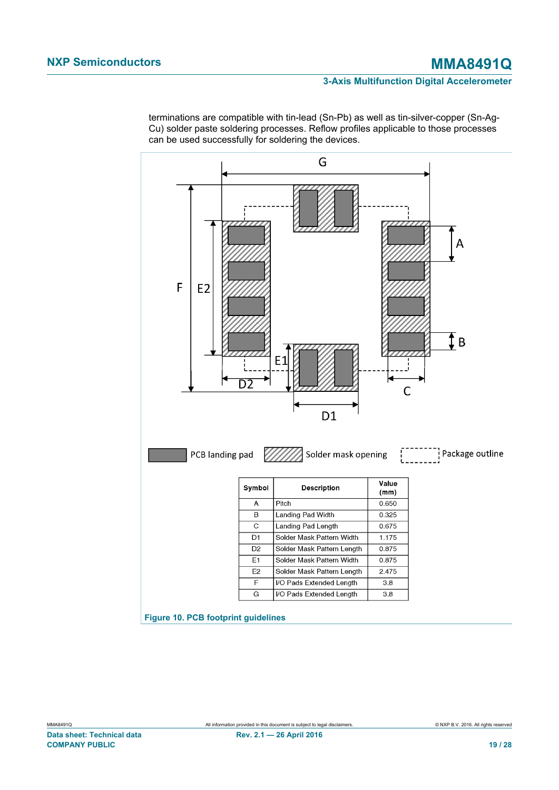<span id="page-18-0"></span>

terminations are compatible with tin-lead (Sn-Pb) as well as tin-silver-copper (Sn-Ag-Cu) solder paste soldering processes. Reflow profiles applicable to those processes can be used successfully for soldering the devices.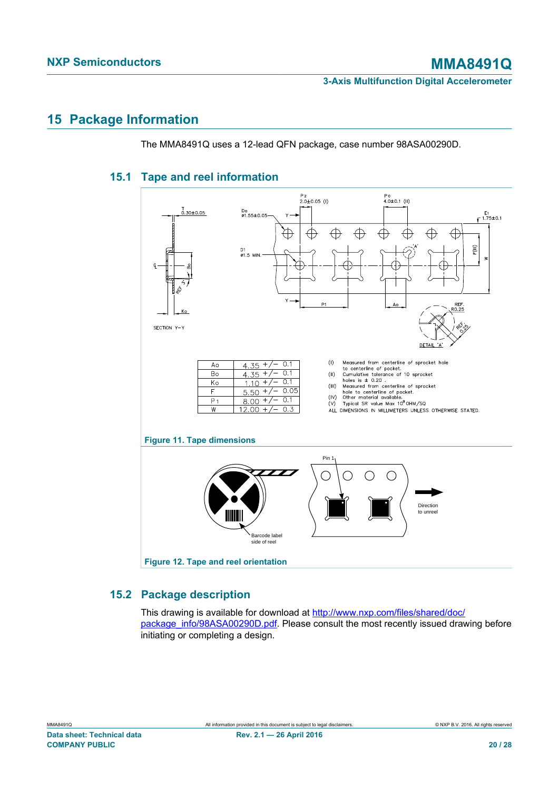## <span id="page-19-2"></span>**15 Package Information**

The MMA8491Q uses a 12-lead QFN package, case number 98ASA00290D.

## **15.1 Tape and reel information**

<span id="page-19-3"></span><span id="page-19-0"></span>

## <span id="page-19-1"></span>**15.2 Package description**

<span id="page-19-4"></span>This drawing is available for download at [http://www.nxp.com/files/shared/doc/](http://www.nxp.com/files/shared/doc/package_info/98ASA00290D.pdf) [package\\_info/98ASA00290D.pdf](http://www.nxp.com/files/shared/doc/package_info/98ASA00290D.pdf). Please consult the most recently issued drawing before initiating or completing a design.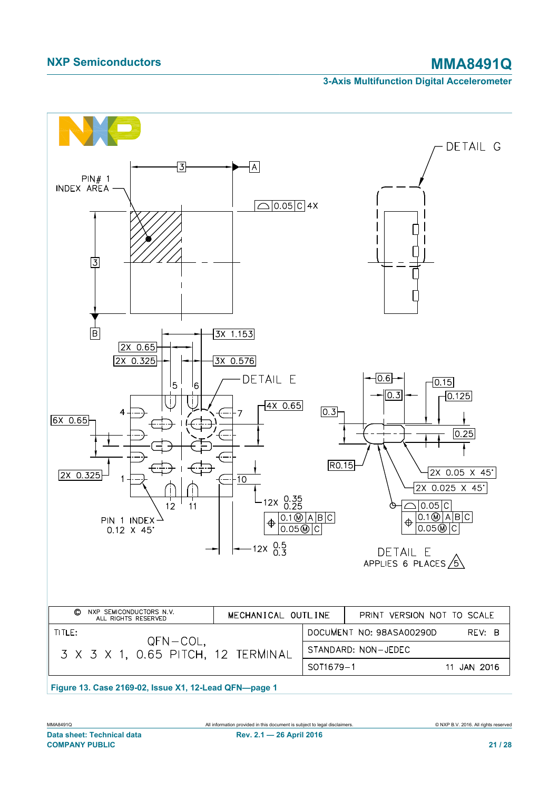<span id="page-20-0"></span>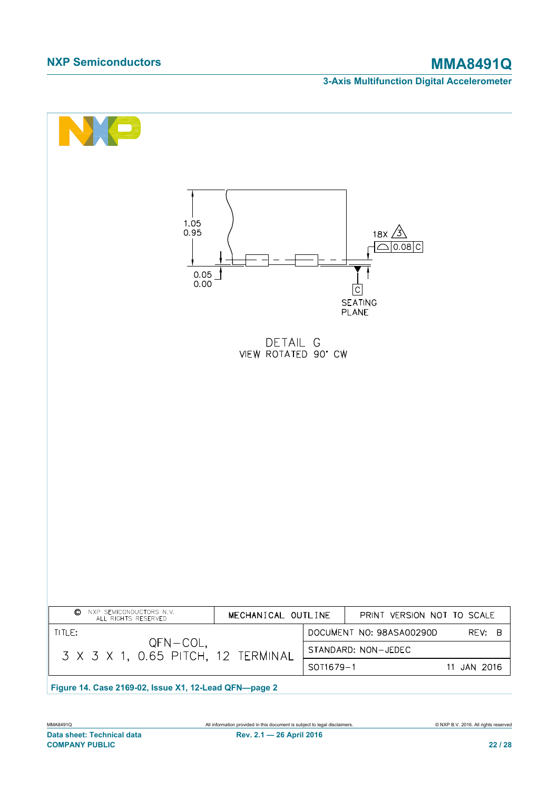<span id="page-21-0"></span>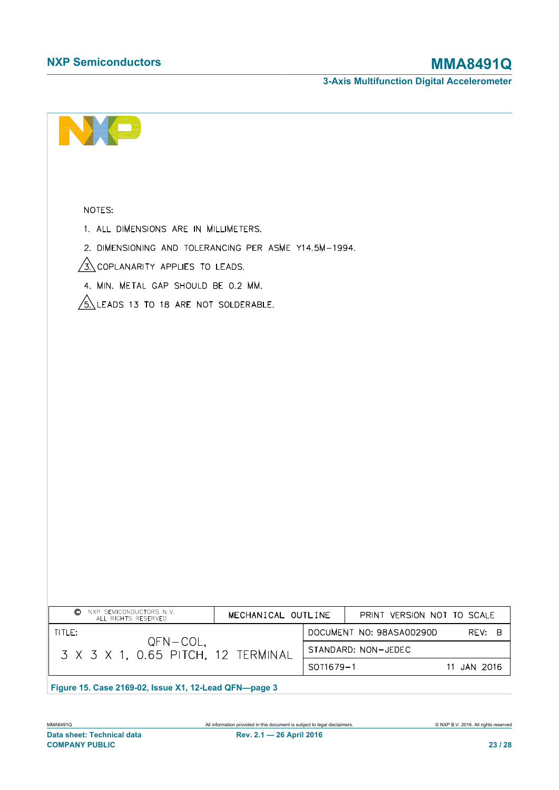|  |  |  | <b>3-Axis Multifunction Digital Accelerometer</b> |
|--|--|--|---------------------------------------------------|
|--|--|--|---------------------------------------------------|

<span id="page-22-0"></span>

| NOTES:<br>1. ALL DIMENSIONS ARE IN MILLIMETERS.<br>2. DIMENSIONING AND TOLERANCING PER ASME Y14.5M-1994.<br>$\sqrt{3}$ Coplanarity applies to leads.<br>4. MIN. METAL GAP SHOULD BE 0.2 MM.<br>$\sqrt{5}$ Leads 13 to 18 are not solderable. |                                                                                                       |
|----------------------------------------------------------------------------------------------------------------------------------------------------------------------------------------------------------------------------------------------|-------------------------------------------------------------------------------------------------------|
|                                                                                                                                                                                                                                              |                                                                                                       |
|                                                                                                                                                                                                                                              |                                                                                                       |
| NXP SEMICONDUCTORS N.V.<br>O<br>MECHANICAL OUTLINE<br>ALL RIGHTS RESERVED                                                                                                                                                                    | PRINT VERSION NOT TO SCALE                                                                            |
| TITLE:<br>$QFN-COL$ ,<br>3 X 3 X 1, 0.65 PITCH, 12 TERMINAL                                                                                                                                                                                  | DOCUMENT NO: 98ASA00290D<br>REV:<br>$\overline{B}$<br>STANDARD: NON-JEDEC<br>11 JAN 2016<br>SOT1679-1 |
| Figure 15. Case 2169-02, Issue X1, 12-Lead QFN-page 3                                                                                                                                                                                        |                                                                                                       |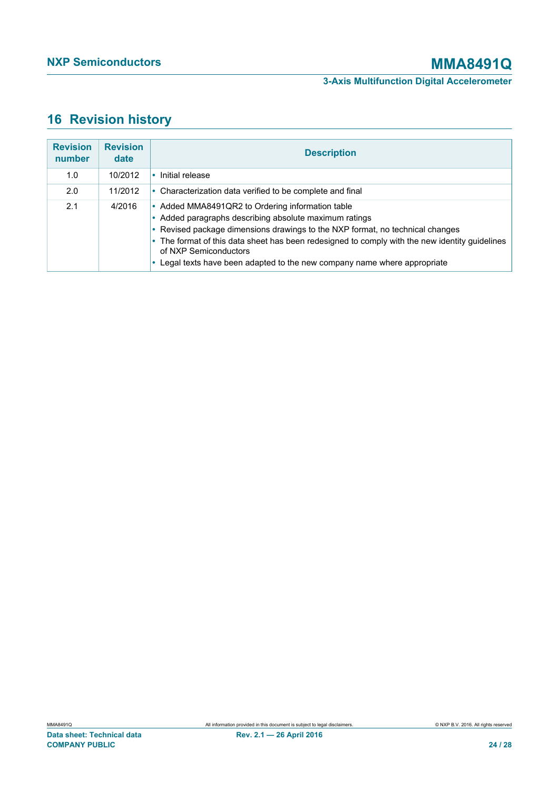## <span id="page-23-0"></span>**16 Revision history**

| <b>Revision</b><br>number | <b>Revision</b><br>date | <b>Description</b>                                                                                                                                                                                                                                                                                                                                                                                |
|---------------------------|-------------------------|---------------------------------------------------------------------------------------------------------------------------------------------------------------------------------------------------------------------------------------------------------------------------------------------------------------------------------------------------------------------------------------------------|
| 1.0                       | 10/2012                 | Initial release                                                                                                                                                                                                                                                                                                                                                                                   |
| 2.0                       | 11/2012                 | • Characterization data verified to be complete and final                                                                                                                                                                                                                                                                                                                                         |
| 2.1                       | 4/2016                  | • Added MMA8491QR2 to Ordering information table<br>• Added paragraphs describing absolute maximum ratings<br>• Revised package dimensions drawings to the NXP format, no technical changes<br>• The format of this data sheet has been redesigned to comply with the new identity guidelines<br>of NXP Semiconductors<br>Legal texts have been adapted to the new company name where appropriate |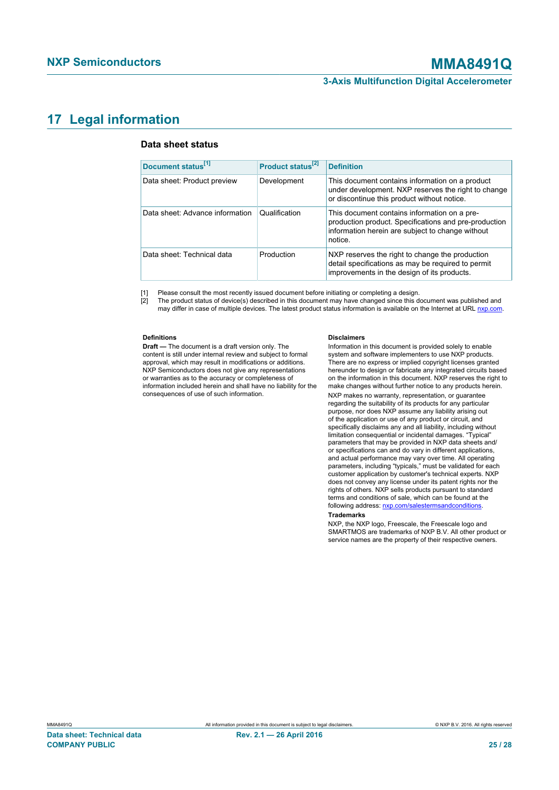## <span id="page-24-1"></span>**17 Legal information**

#### <span id="page-24-0"></span>**Data sheet status**

| Document status <sup>[1]</sup>  | Product status <sup>[2]</sup> | <b>Definition</b>                                                                                                                                                    |
|---------------------------------|-------------------------------|----------------------------------------------------------------------------------------------------------------------------------------------------------------------|
| Data sheet: Product preview     | Development                   | This document contains information on a product<br>under development. NXP reserves the right to change<br>or discontinue this product without notice.                |
| Data sheet: Advance information | Qualification                 | This document contains information on a pre-<br>production product. Specifications and pre-production<br>information herein are subject to change without<br>notice. |
| Data sheet: Technical data      | Production                    | NXP reserves the right to change the production<br>detail specifications as may be required to permit<br>improvements in the design of its products.                 |

[1] Please consult the most recently issued document before initiating or completing a design.

[2] The product status of device(s) described in this document may have changed since this document was published and may differ in case of multiple devices. The latest product status information is available on the Internet at URL [nxp.com](http://www.nxp.com).

#### **Definitions**

**Draft —** The document is a draft version only. The content is still under internal review and subject to formal approval, which may result in modifications or additions. NXP Semiconductors does not give any representations or warranties as to the accuracy or completeness of information included herein and shall have no liability for the consequences of use of such information.

#### **Disclaimers**

Information in this document is provided solely to enable system and software implementers to use NXP products. There are no express or implied copyright licenses granted hereunder to design or fabricate any integrated circuits based on the information in this document. NXP reserves the right to make changes without further notice to any products herein. NXP makes no warranty, representation, or guarantee regarding the suitability of its products for any particular purpose, nor does NXP assume any liability arising out of the application or use of any product or circuit, and specifically disclaims any and all liability, including without limitation consequential or incidental damages. "Typical" parameters that may be provided in NXP data sheets and/ or specifications can and do vary in different applications, and actual performance may vary over time. All operating parameters, including "typicals," must be validated for each customer application by customer's technical experts. NXP does not convey any license under its patent rights nor the rights of others. NXP sells products pursuant to standard terms and conditions of sale, which can be found at the following address: [nxp.com/salestermsandconditions.](http://www.nxp.com/salestermsandconditions) **Trademarks**

NXP, the NXP logo, Freescale, the Freescale logo and SMARTMOS are trademarks of NXP B.V. All other product or service names are the property of their respective owners.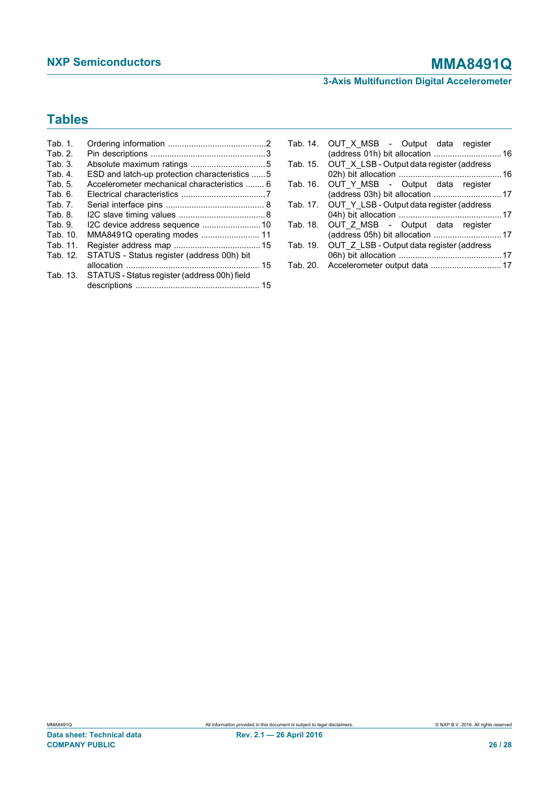## **NXP Semiconductors MMA8491Q**

**3-Axis Multifunction Digital Accelerometer**

## **Tables**

| Tab. 1.  |                                               |    |
|----------|-----------------------------------------------|----|
| Tab. 2.  |                                               |    |
| Tab. 3.  |                                               |    |
| Tab. 4.  | ESD and latch-up protection characteristics 5 |    |
| Tab. 5.  | Accelerometer mechanical characteristics  6   |    |
| Tab. 6.  |                                               |    |
| Tab. 7.  |                                               |    |
| Tab. 8.  |                                               |    |
| Tab. 9.  | I2C device address sequence  10               |    |
| Tab. 10. | MMA8491Q operating modes  11                  |    |
| Tab. 11. |                                               |    |
| Tab. 12. | STATUS - Status register (address 00h) bit    |    |
|          |                                               | 15 |
| Tab. 13. | STATUS - Status register (address 00h) field  |    |
|          |                                               |    |

|          | Tab. 14. OUT X MSB - Output data register          |  |
|----------|----------------------------------------------------|--|
|          | (address 01h) bit allocation  16                   |  |
|          | Tab. 15. OUT X LSB - Output data register (address |  |
|          |                                                    |  |
|          | Tab. 16. OUT Y MSB - Output data register          |  |
|          | (address 03h) bit allocation  17                   |  |
|          | Tab. 17. OUT Y LSB - Output data register (address |  |
|          |                                                    |  |
| Tab. 18. | OUT Z MSB - Output data register                   |  |
|          |                                                    |  |
| Tab. 19. | OUT Z LSB - Output data register (address          |  |
|          |                                                    |  |
| Tab. 20. |                                                    |  |
|          |                                                    |  |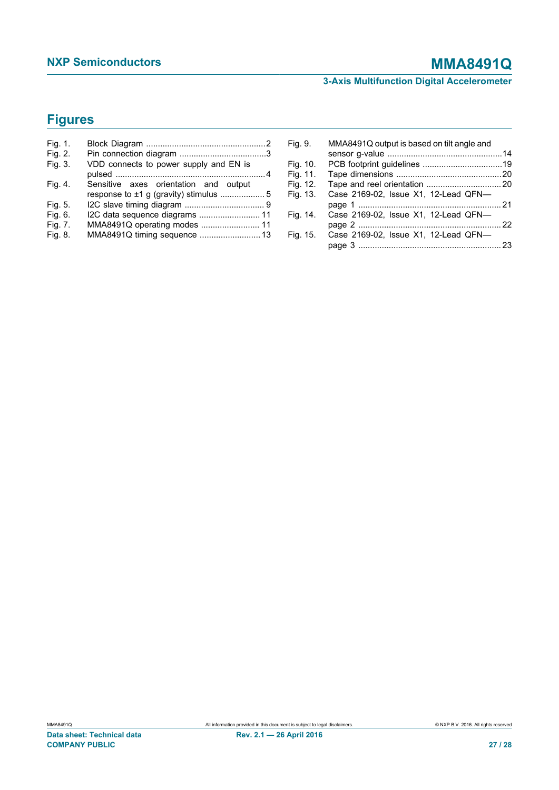## **NXP Semiconductors MMA8491Q**

**3-Axis Multifunction Digital Accelerometer**

## **Figures**

| Fig. 1. |                                        |  |
|---------|----------------------------------------|--|
| Fig. 2. |                                        |  |
| Fig. 3. | VDD connects to power supply and EN is |  |
|         |                                        |  |
| Fig. 4. | Sensitive axes orientation and output  |  |
|         |                                        |  |
| Fig. 5. |                                        |  |
| Fig. 6. |                                        |  |
| Fig. 7. | MMA8491Q operating modes  11           |  |
| Fig. 8. | MMA8491Q timing sequence  13           |  |

| Fig. 9.  | MMA8491Q output is based on tilt angle and |  |
|----------|--------------------------------------------|--|
|          |                                            |  |
| Fig. 10. |                                            |  |
| Fig. 11. |                                            |  |
| Fig. 12. |                                            |  |
| Fig. 13. | Case 2169-02, Issue X1, 12-Lead QFN-       |  |
|          |                                            |  |
| Fig. 14. | Case 2169-02, Issue X1, 12-Lead QFN-       |  |
|          |                                            |  |
| Fig. 15. | Case 2169-02, Issue X1, 12-Lead QFN-       |  |
|          |                                            |  |
|          |                                            |  |